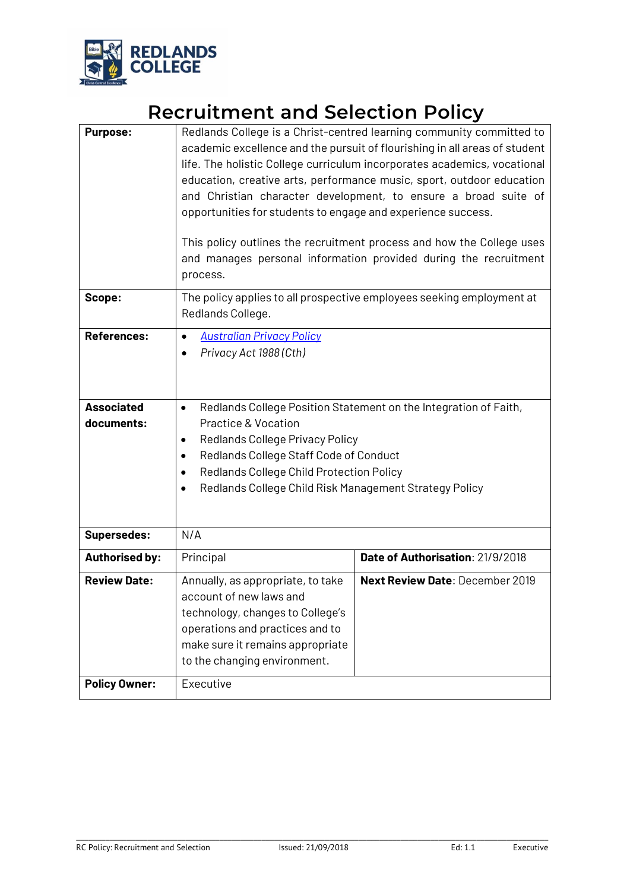

# **Recruitment and Selection Policy**

| <b>Purpose:</b>                 | Redlands College is a Christ-centred learning community committed to<br>academic excellence and the pursuit of flourishing in all areas of student<br>life. The holistic College curriculum incorporates academics, vocational<br>education, creative arts, performance music, sport, outdoor education<br>and Christian character development, to ensure a broad suite of<br>opportunities for students to engage and experience success.<br>This policy outlines the recruitment process and how the College uses<br>and manages personal information provided during the recruitment<br>process. |                                        |
|---------------------------------|-----------------------------------------------------------------------------------------------------------------------------------------------------------------------------------------------------------------------------------------------------------------------------------------------------------------------------------------------------------------------------------------------------------------------------------------------------------------------------------------------------------------------------------------------------------------------------------------------------|----------------------------------------|
| Scope:                          | The policy applies to all prospective employees seeking employment at<br>Redlands College.                                                                                                                                                                                                                                                                                                                                                                                                                                                                                                          |                                        |
| <b>References:</b>              | <b>Australian Privacy Policy</b><br>$\bullet$<br>Privacy Act 1988 (Cth)<br>$\bullet$                                                                                                                                                                                                                                                                                                                                                                                                                                                                                                                |                                        |
| <b>Associated</b><br>documents: | Redlands College Position Statement on the Integration of Faith,<br>$\bullet$<br>Practice & Vocation<br>Redlands College Privacy Policy<br>$\bullet$<br>Redlands College Staff Code of Conduct<br>$\bullet$<br>Redlands College Child Protection Policy<br>$\bullet$<br>Redlands College Child Risk Management Strategy Policy<br>$\bullet$                                                                                                                                                                                                                                                         |                                        |
| <b>Supersedes:</b>              | N/A                                                                                                                                                                                                                                                                                                                                                                                                                                                                                                                                                                                                 |                                        |
| <b>Authorised by:</b>           | Principal                                                                                                                                                                                                                                                                                                                                                                                                                                                                                                                                                                                           | Date of Authorisation: 21/9/2018       |
| <b>Review Date:</b>             | Annually, as appropriate, to take<br>account of new laws and<br>technology, changes to College's<br>operations and practices and to<br>make sure it remains appropriate<br>to the changing environment.                                                                                                                                                                                                                                                                                                                                                                                             | <b>Next Review Date: December 2019</b> |
| <b>Policy Owner:</b>            | Executive                                                                                                                                                                                                                                                                                                                                                                                                                                                                                                                                                                                           |                                        |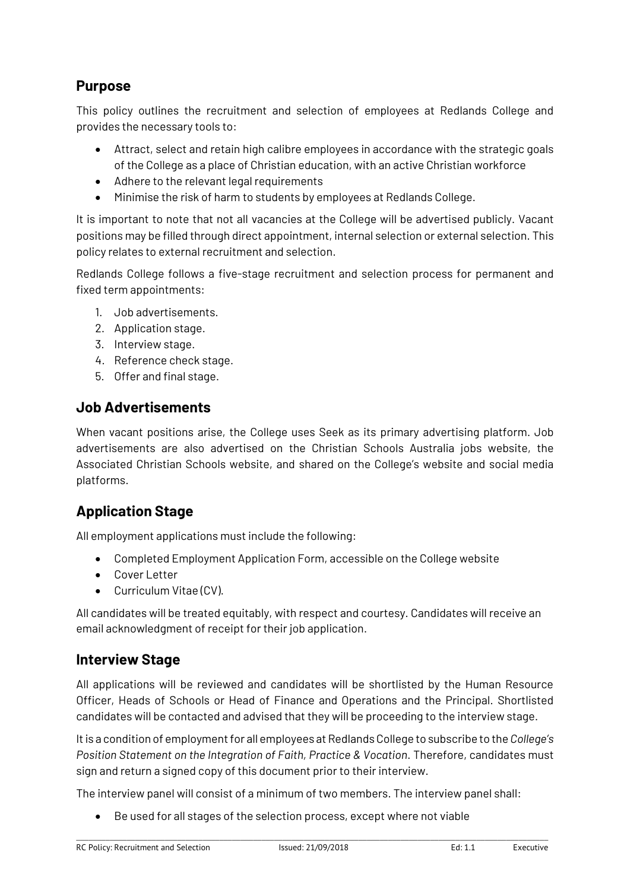# **Purpose**

This policy outlines the recruitment and selection of employees at Redlands College and provides the necessary tools to:

- Attract, select and retain high calibre employees in accordance with the strategic goals of the College as a place of Christian education, with an active Christian workforce
- Adhere to the relevant legal requirements
- Minimise the risk of harm to students by employees at Redlands College.

It is important to note that not all vacancies at the College will be advertised publicly. Vacant positions may be filled through direct appointment, internal selection or external selection. This policy relates to external recruitment and selection.

Redlands College follows a five-stage recruitment and selection process for permanent and fixed term appointments:

- 1. Job advertisements.
- 2. Application stage.
- 3. Interview stage.
- 4. Reference check stage.
- 5. Offer and final stage.

### **Job Advertisements**

When vacant positions arise, the College uses Seek as its primary advertising platform. Job advertisements are also advertised on the Christian Schools Australia jobs website, the Associated Christian Schools website, and shared on the College's website and social media platforms.

# **Application Stage**

All employment applications must include the following:

- Completed Employment Application Form, accessible on the College website
- Cover Letter
- Curriculum Vitae (CV).

All candidates will be treated equitably, with respect and courtesy. Candidates will receive an email acknowledgment of receipt for their job application.

# **Interview Stage**

All applications will be reviewed and candidates will be shortlisted by the Human Resource Officer, Heads of Schools or Head of Finance and Operations and the Principal. Shortlisted candidates will be contacted and advised that they will be proceeding to the interview stage.

It is a condition of employment for all employees at Redlands College to subscribe to the *College's Position Statement on the Integration of Faith, Practice & Vocation*. Therefore, candidates must sign and return a signed copy of this document prior to their interview.

The interview panel will consist of a minimum of two members. The interview panel shall:

• Be used for all stages of the selection process, except where not viable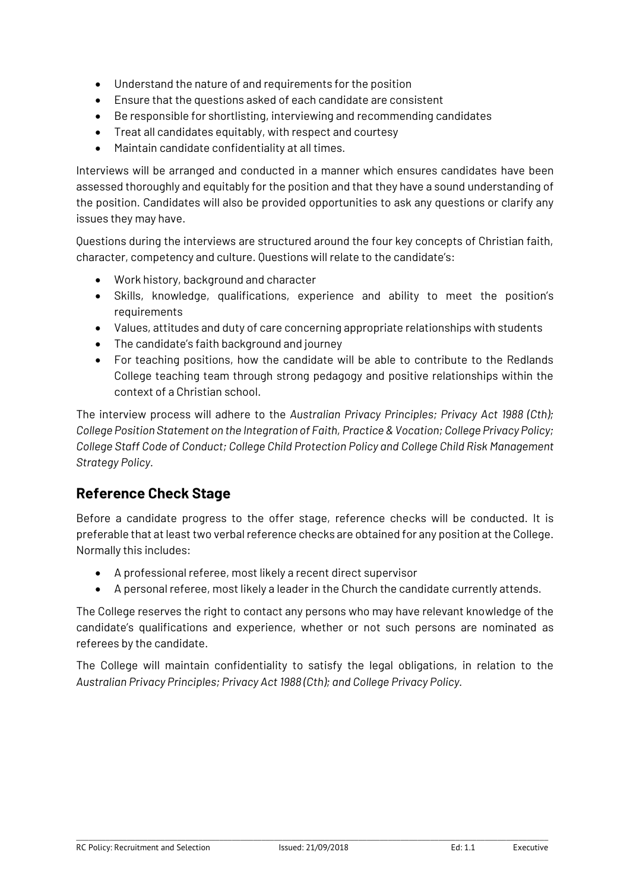- Understand the nature of and requirements for the position
- Ensure that the questions asked of each candidate are consistent
- Be responsible for shortlisting, interviewing and recommending candidates
- Treat all candidates equitably, with respect and courtesy
- Maintain candidate confidentiality at all times.

Interviews will be arranged and conducted in a manner which ensures candidates have been assessed thoroughly and equitably for the position and that they have a sound understanding of the position. Candidates will also be provided opportunities to ask any questions or clarify any issues they may have.

Questions during the interviews are structured around the four key concepts of Christian faith, character, competency and culture. Questions will relate to the candidate's:

- Work history, background and character
- Skills, knowledge, qualifications, experience and ability to meet the position's requirements
- Values, attitudes and duty of care concerning appropriate relationships with students
- The candidate's faith background and journey
- For teaching positions, how the candidate will be able to contribute to the Redlands College teaching team through strong pedagogy and positive relationships within the context of a Christian school.

The interview process will adhere to the *Australian Privacy Principles; Privacy Act 1988 (Cth); College Position Statement on the Integration of Faith, Practice & Vocation; College Privacy Policy; College Staff Code of Conduct; College Child Protection Policy and College Child Risk Management Strategy Policy.*

# **Reference Check Stage**

Before a candidate progress to the offer stage, reference checks will be conducted. It is preferable that at least two verbal reference checks are obtained for any position at the College. Normally this includes:

- A professional referee, most likely a recent direct supervisor
- A personal referee, most likely a leader in the Church the candidate currently attends.

The College reserves the right to contact any persons who may have relevant knowledge of the candidate's qualifications and experience, whether or not such persons are nominated as referees by the candidate.

The College will maintain confidentiality to satisfy the legal obligations, in relation to the *Australian Privacy Principles; Privacy Act 1988 (Cth); and College Privacy Policy.*